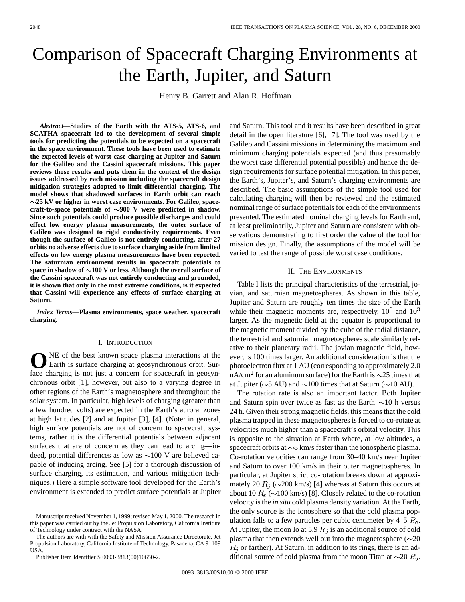# Comparison of Spacecraft Charging Environments at the Earth, Jupiter, and Saturn

Henry B. Garrett and Alan R. Hoffman

*Abstract—***Studies of the Earth with the ATS-5, ATS-6, and SCATHA spacecraft led to the development of several simple tools for predicting the potentials to be expected on a spacecraft in the space environment. These tools have been used to estimate the expected levels of worst case charging at Jupiter and Saturn for the Galileo and the Cassini spacecraft missions. This paper reviews those results and puts them in the context of the design issues addressed by each mission including the spacecraft design mitigation strategies adopted to limit differential charging. The model shows that shadowed surfaces in Earth orbit can reach 25 kV or higher in worst case environments. For Galileo, space**craft-to-space potentials of  $\sim$ 900 V were predicted in shadow. **Since such potentials could produce possible discharges and could effect low energy plasma measurements, the outer surface of Galileo was designed to rigid conductivity requirements. Even though the surface of Galileo is not entirely conducting, after 27 orbits no adverse effects due to surface charging aside from limited effects on low energy plasma measurements have been reported. The saturnian environment results in spacecraft potentials to** space in shadow of  $\sim$ 100 V or less. Although the overall surface of **the Cassini spacecraft was not entirely conducting and grounded, it is shown that only in the most extreme conditions, is it expected that Cassini will experience any effects of surface charging at Saturn.**

*Index Terms—***Plasma environments, space weather, spacecraft charging.**

## I. INTRODUCTION

NE of the best known space plasma interactions at the Earth is surface charging at geosynchronous orbit. Surface charging is not just a concern for spacecraft in geosynchronous orbit [1], however, but also to a varying degree in other regions of the Earth's magnetosphere and throughout the solar system. In particular, high levels of charging (greater than a few hundred volts) are expected in the Earth's auroral zones at high latitudes [2] and at Jupiter [3], [4]. (Note: in general, high surface potentials are not of concern to spacecraft systems, rather it is the differential potentials between adjacent surfaces that are of concern as they can lead to arcing—indeed, potential differences as low as  $\sim$ 100 V are believed capable of inducing arcing. See [5] for a thorough discussion of surface charging, its estimation, and various mitigation techniques.) Here a simple software tool developed for the Earth's environment is extended to predict surface potentials at Jupiter

The authors are with with the Safety and Mission Assurance Directorate, Jet Propulsion Laboratory, California Institute of Technology, Pasadena, CA 91109 USA.

Publisher Item Identifier S 0093-3813(00)10650-2.

and Saturn. This tool and it results have been described in great detail in the open literature [6], [7]. The tool was used by the Galileo and Cassini missions in determining the maximum and minimum charging potentials expected (and thus presumably the worst case differential potential possible) and hence the design requirements for surface potential mitigation. In this paper, the Earth's, Jupiter's, and Saturn's charging environments are described. The basic assumptions of the simple tool used for calculating charging will then be reviewed and the estimated nominal range of surface potentials for each of the environments presented. The estimated nominal charging levels for Earth and, at least preliminarily, Jupiter and Saturn are consistent with observations demonstrating to first order the value of the tool for mission design. Finally, the assumptions of the model will be varied to test the range of possible worst case conditions.

## II. THE ENVIRONMENTS

Table I lists the principal characteristics of the terrestrial, jovian, and saturnian magnetospheres. As shown in this table, Jupiter and Saturn are roughly ten times the size of the Earth while their magnetic moments are, respectively,  $10^5$  and  $10^3$ larger. As the magnetic field at the equator is proportional to the magnetic moment divided by the cube of the radial distance, the terrestrial and saturnian magnetospheres scale similarly relative to their planetary radii. The jovian magnetic field, however, is 100 times larger. An additional consideration is that the photoelectron flux at 1 AU (corresponding to approximately 2.0 nA/cm<sup>2</sup> for an aluminum surface) for the Earth is  $\sim$ 25 times that at Jupiter ( $\sim$ 5 AU) and  $\sim$ 100 times that at Saturn ( $\sim$ 10 AU).

The rotation rate is also an important factor. Both Jupiter and Saturn spin over twice as fast as the Earth $-\sim 10$  h versus 24 h. Given their strong magnetic fields, this means that the cold plasma trapped in these magnetospheres is forced to co-rotate at velocities much higher than a spacecraft's orbital velocity. This is opposite to the situation at Earth where, at low altitudes, a spacecraft orbits at  $\sim$ 8 km/s faster than the ionospheric plasma. Co-rotation velocities can range from 30–40 km/s near Jupiter and Saturn to over 100 km/s in their outer magnetospheres. In particular, at Jupiter strict co-rotation breaks down at approximately 20  $R_i$  ( $\sim$ 200 km/s) [4] whereas at Saturn this occurs at about 10  $R_s$  ( $\sim$ 100 km/s) [8]. Closely related to the co-rotation velocity is the *in situ* cold plasma density variation. At the Earth, the only source is the ionosphere so that the cold plasma population falls to a few particles per cubic centimeter by  $4-5 R_e$ . At Jupiter, the moon Io at 5.9  $R_j$  is an additional source of cold plasma that then extends well out into the magnetosphere  $(\sim 20$  $R_i$  or farther). At Saturn, in addition to its rings, there is an additional source of cold plasma from the moon Titan at  $\sim$ 20  $R_s$ .

Manuscript received November 1, 1999; revised May 1, 2000. The research in this paper was carried out by the Jet Propulsion Laboratory, California Institute of Technology under contract with the NASA.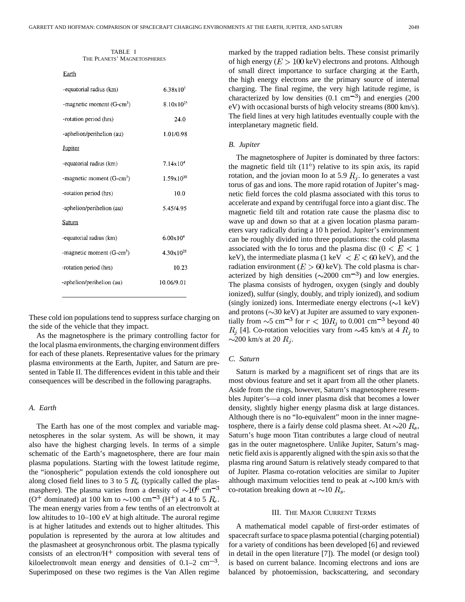TABLE I THE PLANETS' MAGNETOSPHERES

| -equatorial radius (km)               | $6.38 \times 10^3$    |
|---------------------------------------|-----------------------|
| -magnetic moment $(G-cm^3)$           | $8.10x10^{25}$        |
| -rotation period (hrs)                | 24.0                  |
| -aphelion/perihelion (au)             | 1.01/0.98             |
| <b>Jupiter</b>                        |                       |
| -equatorial radius (km)               | $7.14 \times 10^4$    |
| -magnetic moment $(G-cm^3)$           | $1.59x10^{30}$        |
| -rotation period (hrs)                | 10.0                  |
| -aphelion/perihelion (au)             | 5.45/4.95             |
| Saturn                                |                       |
| -equatorial radius (km)               | 6.00x10 <sup>4</sup>  |
| -magnetic moment (G-cm <sup>3</sup> ) | $4.30 \times 10^{28}$ |
| -rotation period (hrs)                | 10.23                 |
|                                       |                       |

These cold ion populations tend to suppress surface charging on the side of the vehicle that they impact.

As the magnetosphere is the primary controlling factor for the local plasma environments, the charging environment differs for each of these planets. Representative values for the primary plasma environments at the Earth, Jupiter, and Saturn are presented in Table II. The differences evident in this table and their consequences will be described in the following paragraphs.

## *A. Earth*

The Earth has one of the most complex and variable magnetospheres in the solar system. As will be shown, it may also have the highest charging levels. In terms of a simple schematic of the Earth's magnetosphere, there are four main plasma populations. Starting with the lowest latitude regime, the "ionospheric" population extends the cold ionosphere out along closed field lines to 3 to 5  $R_e$  (typically called the plasmasphere). The plasma varies from a density of  $\sim 10^6$  cm<sup>-3</sup> (O<sup>+</sup> dominated) at 100 km to  $\sim$ 100 cm<sup>-3</sup> (H<sup>+</sup>) at 4 to 5  $R_e$ . The mean energy varies from a few tenths of an electronvolt at low altitudes to 10–100 eV at high altitude. The auroral regime is at higher latitudes and extends out to higher altitudes. This population is represented by the aurora at low altitudes and the plasmasheet at geosynchronous orbit. The plasma typically consists of an electron/ $H^+$  composition with several tens of kiloelectronvolt mean energy and densities of  $0.1-2 \text{ cm}^{-3}$ . Superimposed on these two regimes is the Van Allen regime

marked by the trapped radiation belts. These consist primarily of high energy  $(E > 100 \text{ keV})$  electrons and protons. Although of small direct importance to surface charging at the Earth, the high energy electrons are the primary source of internal charging. The final regime, the very high latitude regime, is characterized by low densities  $(0.1 \text{ cm}^{-3})$  and energies  $(200 \text{ m})$ eV) with occasional bursts of high velocity streams (800 km/s). The field lines at very high latitudes eventually couple with the interplanetary magnetic field.

## *B. Jupiter*

The magnetosphere of Jupiter is dominated by three factors: the magnetic field tilt  $(11^{\circ})$  relative to its spin axis, its rapid rotation, and the jovian moon Io at 5.9  $R_i$ . Io generates a vast torus of gas and ions. The more rapid rotation of Jupiter's magnetic field forces the cold plasma associated with this torus to accelerate and expand by centrifugal force into a giant disc. The magnetic field tilt and rotation rate cause the plasma disc to wave up and down so that at a given location plasma parameters vary radically during a 10 h period. Jupiter's environment can be roughly divided into three populations: the cold plasma associated with the Io torus and the plasma disc  $(0 < E < 1$ keV), the intermediate plasma (1 keV  $\lt E \lt 60$  keV), and the radiation environment ( $E > 60$  keV). The cold plasma is characterized by high densities ( $\sim$ 2000 cm<sup>-3</sup>) and low energies. The plasma consists of hydrogen, oxygen (singly and doubly ionized), sulfur (singly, doubly, and triply ionized), and sodium (singly ionized) ions. Intermediate energy electrons  $(\sim]$  keV) and protons  $(\sim 30 \text{ keV})$  at Jupiter are assumed to vary exponentially from  $\sim$ 5 cm<sup>-3</sup> for  $r < 10R_j$  to 0.001 cm<sup>-3</sup> beyond 40  $R_i$  [4]. Co-rotation velocities vary from  $\sim$  45 km/s at 4  $R_i$  to  $\sim$ 200 km/s at 20  $R_i$ .

## *C. Saturn*

Saturn is marked by a magnificent set of rings that are its most obvious feature and set it apart from all the other planets. Aside from the rings, however, Saturn's magnetosphere resembles Jupiter's—a cold inner plasma disk that becomes a lower density, slightly higher energy plasma disk at large distances. Although there is no "Io-equivalent" moon in the inner magnetosphere, there is a fairly dense cold plasma sheet. At  $\sim$ 20  $R_s$ , Saturn's huge moon Titan contributes a large cloud of neutral gas in the outer magnetosphere. Unlike Jupiter, Saturn's magnetic field axis is apparently aligned with the spin axis so that the plasma ring around Saturn is relatively steady compared to that of Jupiter. Plasma co-rotation velocities are similar to Jupiter although maximum velocities tend to peak at  $\sim$ 100 km/s with co-rotation breaking down at  $\sim 10 R_s$ .

# III. THE MAJOR CURRENT TERMS

A mathematical model capable of first-order estimates of spacecraft surface to space plasma potential (charging potential) for a variety of conditions has been developed [6] and reviewed in detail in the open literature [7]). The model (or design tool) is based on current balance. Incoming electrons and ions are balanced by photoemission, backscattering, and secondary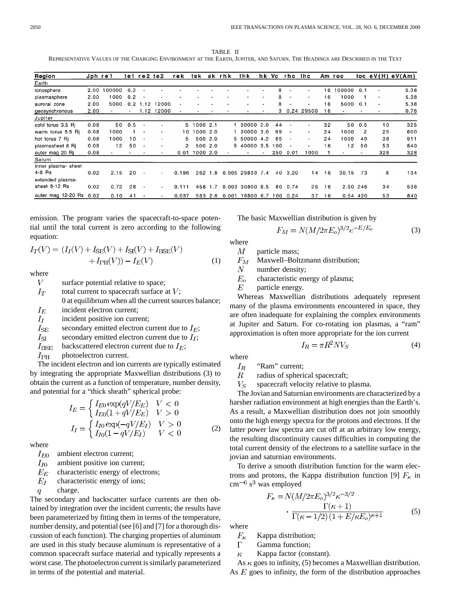TABLE II REPRESENTATIVE VALUES OF THE CHARGING ENVIRONMENT AT THE EARTH, JUPITER, AND SATURN. THE HEADINGS ARE DESCRIBED IN THE TEXT

| Region                  | Jph rei |        | te 1 | re2te2                   |       | rek   | tek.       | ak      | rhk   | thk             | h k | Vc  | rhc the  |                |    | Am roc   |     |     | toc $eV(H)$ $eV(Am)$ |
|-------------------------|---------|--------|------|--------------------------|-------|-------|------------|---------|-------|-----------------|-----|-----|----------|----------------|----|----------|-----|-----|----------------------|
| Earth                   |         |        |      |                          |       |       |            |         |       |                 |     |     |          |                |    |          |     |     |                      |
| ionosphere              | 2.00    | 100000 | 0.2  |                          |       |       |            |         |       |                 |     | я   |          |                | 16 | 100000   | 0.1 |     | 5.38                 |
| plasmasphere            | 2.00    | 1000   | 0.2  |                          |       |       |            |         |       |                 |     | 8   |          |                | 16 | 1000     |     |     | 5.38                 |
| auroral zone            | 2.00    | 5000   |      | 2<br>×                   | 2000  |       |            |         |       |                 |     | я   |          |                | 16 | 5000     | 0.1 |     | 5.38                 |
| geosynchronous          | 2.00    |        |      | 1.12                     | 12000 |       |            |         |       |                 |     | 3.  | 0.24     | 29500          | 16 |          |     |     | 0.76                 |
| Jupiter                 |         |        |      |                          |       |       |            |         |       |                 |     |     |          |                |    |          |     |     |                      |
| cold torus 3.5 Ri       | 0.08    | 50     | 0.5  |                          |       |       | 5 1000 2.1 |         |       | 30000 2.0       |     | 44  |          |                | 32 | 50       | 0.5 | 10  | 325                  |
| warm torus 5.5 Ri       | 0.08    | 1000   |      |                          |       | 10.   | 1000 2.0   |         |       | 30000 3.0       |     | 69  | ۰        | ٠              | 24 | 1000     | 2   | 25  | 600                  |
| hot torus 7 Ri          | 0.08    | 1000   | 10   |                          |       | 5.    | 500        | 2.0     | 5.    | 50000           | 4.2 | 85  |          | $\blacksquare$ | 24 | 1000     | 40  | 38  | 911                  |
| plasmasheet 8 Ri        | 0.08    | 12     | 50   | $\overline{\phantom{a}}$ |       | 2     |            | 500 2.0 | 5.    | 40000 3.5       |     | 100 |          |                | 16 | 12       | 50  | 53  | 840                  |
| outer mag 20 Rj         | 0.08    |        |      |                          |       | 0.01  | 1000 2.0   |         |       |                 |     | 250 | 0.01     | 1000           |    |          |     | 328 | 328                  |
| Saturn                  |         |        |      |                          |       |       |            |         |       |                 |     |     |          |                |    |          |     |     |                      |
| inner plasma-sheet      |         |        |      |                          |       |       |            |         |       |                 |     |     |          |                |    |          |     |     |                      |
| 4-8 Rs                  | 0.02    | 2.15   | 20   | $\overline{\phantom{a}}$ |       | 0.196 | 262        | 1.8     |       | 0.005 29833 7.4 |     |     | 40 3.20  | 14             | 16 | 30.15    | 73  | 8   | 134                  |
| extended plasma-        |         |        |      |                          |       |       |            |         |       |                 |     |     |          |                |    |          |     |     |                      |
| sheet 8-12 Rs           | 0.02    | 0.72   | 28   | $\sim$                   |       | 0.111 | 458        | 1.7     | 0.003 | 30800 8.5       |     | 80  | 0.74     | 26             | 16 | 2.50 246 |     | 34  | 538                  |
| outer mag 12-20 Rs 0.02 |         | 0.10   | 41   |                          |       | 0.037 |            | 583 2.6 | 0.001 | 18800 6.7       |     |     | 100 0.24 | 37             | 16 | 0.54 420 |     | 53  | 840                  |

emission. The program varies the spacecraft-to-space potential until the total current is zero according to the following equation:

$$
I_T(V) = (I_I(V) + I_{\text{SE}}(V) + I_{\text{SI}}(V) + I_{\text{BSE}}(V) + I_{\text{PH}}(V)) - I_E(V)
$$
\n(1)

where

 $\boldsymbol{V}$ surface potential relative to space;

 $I_{T}$ total current to spacecraft surface at  $V$ ;

0 at equilibrium when all the current sources balance;

 $I_E$ incident electron current;

 $I<sub>r</sub>$ incident positive ion current;

 $I_{\rm SF}$ secondary emitted electron current due to  $I_E$ ;

 $I_{\mathrm{SI}}$ secondary emitted electron current due to  $I_I$ ;

 $I_{\rm{BSE}}$ backscattered electron current due to  $I_E$ ;

 $I_{\mathrm{PH}}$ photoelectron current.

The incident electron and ion currents are typically estimated by integrating the appropriate Maxwellian distributions (3) to obtain the current as a function of temperature, number density, and potential for a "thick sheath" spherical probe:

$$
I_E = \begin{cases} I_{E0} \exp(qV/E_E) & V < 0\\ I_{E0}(1+qV/E_E) & V > 0 \end{cases}
$$
\n
$$
I_I = \begin{cases} I_{I0} \exp(-qV/E_I) & V > 0\\ I_{I0}(1-qV/E_I) & V < 0 \end{cases} \tag{2}
$$

where

 $I_{E0}$ ambient electron current;

ambient positive ion current;  $I_{I0}$ 

- $E_{E}$ characteristic energy of electrons;
- $E_I$ characteristic energy of ions;
- charge.  $q$

The secondary and backscatter surface currents are then obtained by integration over the incident currents; the results have been parameterized by fitting them in terms of the temperature, number density, and potential (see [6] and [7] for a thorough discussion of each function). The charging properties of aluminum are used in this study because aluminum is representative of a common spacecraft surface material and typically represents a worst case. The photoelectron current is similarly parameterized in terms of the potential and material.

The basic Maxwellian distribution is given by

$$
F_M = N(M/2\pi E_o)^{3/2} e^{-E/E_o}
$$
 (3)

where

 $\overline{M}$ particle mass;

 $F_M$ Maxwell–Boltzmann distribution;

 $N$ number density;

 $E_{\alpha}$ characteristic energy of plasma;

 $\boldsymbol{E}$ particle energy.

Whereas Maxwellian distributions adequately represent many of the plasma environments encountered in space, they are often inadequate for explaining the complex environments at Jupiter and Saturn. For co-rotating ion plasmas, a "ram" approximation is often more appropriate for the ion current

$$
I_R = \pi R^2 N V_S \tag{4}
$$

where

 $I_R$ "Ram" current;

 $\boldsymbol{R}$ radius of spherical spacecraft;

 $V_S$ spacecraft velocity relative to plasma.

The Jovian and Saturnian environments are characterized by a harsher radiation environment at high energies than the Earth's. As a result, a Maxwellian distribution does not join smoothly onto the high energy spectra for the protons and electrons. If the latter power law spectra are cut off at an arbitrary low energy, the resulting discontinuity causes difficulties in computing the total current density of the electrons to a satellite surface in the jovian and saturnian environments.

To derive a smooth distribution function for the warm electrons and protons, the Kappa distribution function [9]  $F_{\kappa}$  in  $cm<sup>-6</sup> s<sup>3</sup>$  was employed

$$
F_{\kappa} = N(M/2\pi E_o)^{3/2} \kappa^{-3/2}
$$

$$
\cdot \frac{\Gamma(\kappa + 1)}{\Gamma(\kappa - 1/2)(1 + E/\kappa E_o)^{\kappa + 1}} \tag{5}
$$

where

 $F_{\kappa}$ Kappa distribution;

 $\Gamma$ Gamma function;

 $\kappa$ Kappa factor (constant).

As  $\kappa$  goes to infinity, (5) becomes a Maxwellian distribution. As  $E$  goes to infinity, the form of the distribution approaches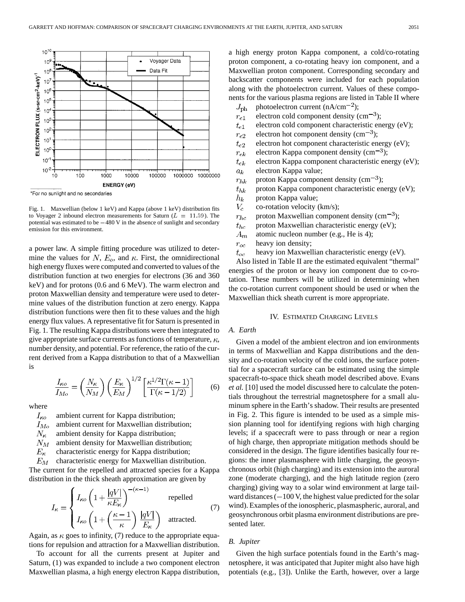

Fig. 1. Maxwellian (below 1 keV) and Kappa (above 1 keV) distribution fits to Voyager 2 inbound electron measurements for Saturn ( $L = 11.59$ ). The Fig. 1. Maxwellian (below 1 keV) and Kappa (above 1 keV) distribution fits to Voyager 2 inbound electron measurements for Saturn ( $L = 11.59$ ). The potential was estimated to be  $-480$  V in the absence of sunlight and seco emission for this environment.

a power law. A simple fitting procedure was utilized to determine the values for N,  $E_o$ , and  $\kappa$ . First, the omnidirectional high energy fluxes were computed and converted to values of the distribution function at two energies for electrons (36 and 360 keV) and for protons (0.6 and 6 MeV). The warm electron and proton Maxwellian density and temperature were used to determine values of the distribution function at zero energy. Kappa distribution functions were then fit to these values and the high energy flux values. A representative fit for Saturn is presented in Fig. 1. The resulting Kappa distributions were then integrated to give appropriate surface currents as functions of temperature,  $\kappa$ , number density, and potential. For reference, the ratio of the current derived from a Kappa distribution to that of a Maxwellian is

 $\frac{I_{\kappa o}}{I_{Mo}} = \left(\frac{N_{\kappa}}{N_{M}}\right) \left(\frac{E_{\kappa}}{E_{M}}\right)^{1/2} \left[\frac{\kappa^{1/2}\Gamma(\kappa-1)}{\Gamma(\kappa-1/2)}\right]$ 

where

 $I_{\kappa o}$ ambient current for Kappa distribution;

 $I_{Mo}$ ambient current for Maxwellian distribution;

 $N_{\kappa}$ ambient density for Kappa distribution;

 $N_M$ ambient density for Maxwellian distribution;

 $E_{\kappa}$ characteristic energy for Kappa distribution;

 $E_M$  characteristic energy for Maxwellian distribution.

The current for the repelled and attracted species for a Kappa distribution in the thick sheath approximation are given by

$$
I_{\kappa} = \begin{cases} I_{\kappa o} \left( 1 + \frac{|qV|}{\kappa E_{\kappa}} \right)^{-(\kappa - 1)} & \text{repelled} \\ I_{\kappa o} \left( 1 + \left( \frac{\kappa - 1}{\kappa} \right) \frac{|qV|}{E_{\kappa}} \right) & \text{attracted.} \end{cases}
$$
(7)

Again, as  $\kappa$  goes to infinity, (7) reduce to the appropriate equations for repulsion and attraction for a Maxwellian distribution.

To account for all the currents present at Jupiter and Saturn, (1) was expanded to include a two component electron Maxwellian plasma, a high energy electron Kappa distribution, a high energy proton Kappa component, a cold/co-rotating proton component, a co-rotating heavy ion component, and a Maxwellian proton component. Corresponding secondary and backscatter components were included for each population along with the photoelectron current. Values of these components for the various plasma regions are listed in Table II where

- $J_{\rm ph}$ photoelectron current  $(nA/cm^{-2})$ ;
- electron cold component density ( $\text{cm}^{-3}$ );  $r_{e1}$
- electron cold component characteristic energy (eV);  $t_{e1}$
- electron hot component density ( $\text{cm}^{-3}$ );  $r_{e2}$
- electron hot component characteristic energy (eV);  $t_{e2}$
- electron Kappa component density  $(cm<sup>-3</sup>)$ ;  $r_{ek}$

electron Kappa component characteristic energy (eV);  $t_{ek}$ 

- $\boldsymbol{a_k}$ electron Kappa value;
- proton Kappa component density  $(cm<sup>-3</sup>)$ ;  $r_{hk}$
- proton Kappa component characteristic energy (eV);  $t_{hk}$
- $h_k$ proton Kappa value;
- $V_c$ co-rotation velocity (km/s);
- $r_{hc}$ proton Maxwellian component density  $(cm<sup>-3</sup>)$ ;
- proton Maxwellian characteristic energy (eV);  $t_{hc}$
- atomic nucleon number (e.g., He is 4);  $A_m$
- $r_{oc}$ heavy ion density;
- heavy ion Maxwellian characteristic energy (eV).  $t_{oc}$

Also listed in Table II are the estimated equivalent "thermal" energies of the proton or heavy ion component due to co-rotation. These numbers will be utilized in determining when the co-rotation current component should be used or when the Maxwellian thick sheath current is more appropriate.

## IV. ESTIMATED CHARGING LEVELS

## *A. Earth*

(6)

Given a model of the ambient electron and ion environments in terms of Maxwellian and Kappa distributions and the density and co-rotation velocity of the cold ions, the surface potential for a spacecraft surface can be estimated using the simple spacecraft-to-space thick sheath model described above. Evans *et al.* [10] used the model discussed here to calculate the potentials throughout the terrestrial magnetosphere for a small aluminum sphere in the Earth's shadow. Their results are presented in Fig. 2. This figure is intended to be used as a simple mission planning tool for identifying regions with high charging levels; if a spacecraft were to pass through or near a region of high charge, then appropriate mitigation methods should be considered in the design. The figure identifies basically four regions: the inner plasmasphere with little charging, the geosynchronous orbit (high charging) and its extension into the auroral zone (moderate charging), and the high latitude region (zero charging) giving way to a solar wind environment at large tailward distances  $(-100 \text{ V},$  the highest value predicted for the solar wind). Examples of the ionospheric, plasmaspheric, auroral, and geosynchronous orbit plasma environment distributions are presented later.

# *B. Jupiter*

Given the high surface potentials found in the Earth's magnetosphere, it was anticipated that Jupiter might also have high potentials (e.g., [3]). Unlike the Earth, however, over a large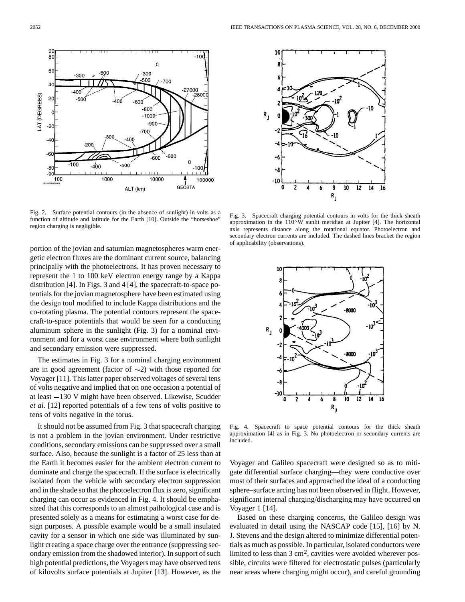

Fig. 2. Surface potential contours (in the absence of sunlight) in volts as a function of altitude and latitude for the Earth [10]. Outside the "horseshoe" region charging is negligible.

portion of the jovian and saturnian magnetospheres warm energetic electron fluxes are the dominant current source, balancing principally with the photoelectrons. It has proven necessary to represent the 1 to 100 keV electron energy range by a Kappa distribution [4]. In Figs. 3 and 4 [4], the spacecraft-to-space potentials for the jovian magnetosphere have been estimated using the design tool modified to include Kappa distributions and the co-rotating plasma. The potential contours represent the spacecraft-to-space potentials that would be seen for a conducting aluminum sphere in the sunlight (Fig. 3) for a nominal environment and for a worst case environment where both sunlight and secondary emission were suppressed.

The estimates in Fig. 3 for a nominal charging environment are in good agreement (factor of  $\sim$ 2) with those reported for Voyager [11]. This latter paper observed voltages of several tens of volts negative and implied that on one occasion a potential of at least  $-130$  V might have been observed. Likewise, Scudder *et al.* [12] reported potentials of a few tens of volts positive to tens of volts negative in the torus.

It should not be assumed from Fig. 3 that spacecraft charging is not a problem in the jovian environment. Under restrictive conditions, secondary emissions can be suppressed over a small surface. Also, because the sunlight is a factor of 25 less than at the Earth it becomes easier for the ambient electron current to dominate and charge the spacecraft. If the surface is electrically isolated from the vehicle with secondary electron suppression and in the shade so that the photoelectron flux is zero, significant charging can occur as evidenced in Fig. 4. It should be emphasized that this corresponds to an almost pathological case and is presented solely as a means for estimating a worst case for design purposes. A possible example would be a small insulated cavity for a sensor in which one side was illuminated by sunlight creating a space charge over the entrance (suppressing secondary emission from the shadowed interior). In support of such high potential predictions, the Voyagers may have observed tens of kilovolts surface potentials at Jupiter [13]. However, as the



Fig. 3. Spacecraft charging potential contours in volts for the thick sheath approximation in the  $110^{\circ}$ W sunlit meridian at Jupiter [4]. The horizontal axis represents distance along the rotational equator. Photoelectron and secondary electron currents are included. The dashed lines bracket the region of applicability (observations).



Fig. 4. Spacecraft to space potential contours for the thick sheath approximation [4] as in Fig. 3. No photoelectron or secondary currents are included.

Voyager and Galileo spacecraft were designed so as to mitigate differential surface charging—they were conductive over most of their surfaces and approached the ideal of a conducting sphere–surface arcing has not been observed in flight. However, significant internal charging/discharging may have occurred on Voyager 1 [14].

Based on these charging concerns, the Galileo design was evaluated in detail using the NASCAP code [15], [16] by N. J. Stevens and the design altered to minimize differential potentials as much as possible. In particular, isolated conductors were limited to less than  $3 \text{ cm}^2$ , cavities were avoided wherever possible, circuits were filtered for electrostatic pulses (particularly near areas where charging might occur), and careful grounding

90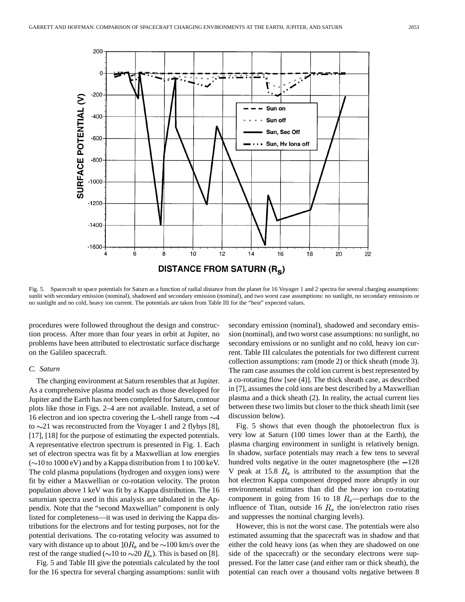

Fig. 5. Spacecraft to space potentials for Saturn as a function of radial distance from the planet for 16 Voyager 1 and 2 spectra for several charging assumptions: sunlit with secondary emission (nominal), shadowed and secondary emission (nominal), and two worst case assumptions: no sunlight, no secondary emissions or no sunlight and no cold, heavy ion current. The potentials are taken from Table III for the "best" expected values.

procedures were followed throughout the design and construction process. After more than four years in orbit at Jupiter, no problems have been attributed to electrostatic surface discharge on the Galileo spacecraft.

# *C. Saturn*

The charging environment at Saturn resembles that at Jupiter. As a comprehensive plasma model such as those developed for Jupiter and the Earth has not been completed for Saturn, contour plots like those in Figs. 2–4 are not available. Instead, a set of 16 electron and ion spectra covering the L-shell range from  $\sim$ 4 to  $\sim$ 21 was reconstructed from the Voyager 1 and 2 flybys [8], [17], [18] for the purpose of estimating the expected potentials. A representative electron spectrum is presented in Fig. 1. Each set of electron spectra was fit by a Maxwellian at low energies  $(\sim 10$  to 1000 eV) and by a Kappa distribution from 1 to 100 keV. The cold plasma populations (hydrogen and oxygen ions) were fit by either a Maxwellian or co-rotation velocity. The proton population above 1 keV was fit by a Kappa distribution. The 16 saturnian spectra used in this analysis are tabulated in the Appendix. Note that the "second Maxwellian" component is only listed for completeness—it was used in deriving the Kappa distributions for the electrons and for testing purposes, not for the potential derivations. The co-rotating velocity was assumed to vary with distance up to about  $10R_s$  and be  $\sim$ 100 km/s over the rest of the range studied ( $\sim$ 10 to  $\sim$ 20  $R_s$ ). This is based on [8].

Fig. 5 and Table III give the potentials calculated by the tool for the 16 spectra for several charging assumptions: sunlit with secondary emission (nominal), shadowed and secondary emission (nominal), and two worst case assumptions: no sunlight, no secondary emissions or no sunlight and no cold, heavy ion current. Table III calculates the potentials for two different current collection assumptions: ram (mode 2) or thick sheath (mode 3). The ram case assumes the cold ion current is best represented by a co-rotating flow [see (4)]. The thick sheath case, as described in [7], assumes the cold ions are best described by a Maxwellian plasma and a thick sheath (2). In reality, the actual current lies between these two limits but closer to the thick sheath limit (see discussion below).

Fig. 5 shows that even though the photoelectron flux is very low at Saturn (100 times lower than at the Earth), the plasma charging environment in sunlight is relatively benign. In shadow, surface potentials may reach a few tens to several hundred volts negative in the outer magnetosphere (the  $-128$ ) V peak at 15.8  $R_s$  is attributed to the assumption that the hot electron Kappa component dropped more abruptly in our environmental estimates than did the heavy ion co-rotating component in going from 16 to 18  $R_s$ —perhaps due to the influence of Titan, outside 16  $R_s$  the ion/electron ratio rises and suppresses the nominal charging levels).

However, this is not the worst case. The potentials were also estimated assuming that the spacecraft was in shadow and that either the cold heavy ions (as when they are shadowed on one side of the spacecraft) or the secondary electrons were suppressed. For the latter case (and either ram or thick sheath), the potential can reach over a thousand volts negative between 8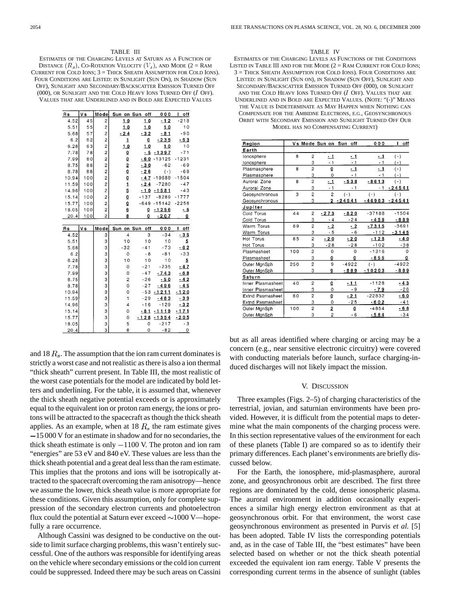## TABLE III

ESTIMATES OF THE CHARGING LEVELS AT SATURN AS A FUNCTION OF DISTANCE  $(R_s)$ , CO-ROTATION VELOCITY  $(V_s)$ , AND MODE  $(2 = RAM)$ CURRENT FOR COLD IONS;3=THICK SHEATH ASSUMPTION FOR COLD IONS). FOUR CONDITIONS ARE LISTED: IN SUNLIGHT (SUN ON), IN SHADOW (SUN OFF), SUNLIGHT AND SECONDARY/BACKSCATTER EMISSION TURNED OFF (000), OR SUNLIGHT AND THE COLD HEAVY IONS TURNED OFF (I OFF). VALUES THAT ARE UNDERLINED AND IN BOLD ARE EXPECTED VALUES

| Rs         | V s | Mode                    | Sun on                  | Sun<br>off              | 000       | $o$ ff<br>ı |
|------------|-----|-------------------------|-------------------------|-------------------------|-----------|-------------|
| 4.52       | 45  | $\overline{\mathbf{c}}$ | 10                      | 10                      | $-12$     | $-218$      |
| 5.51       | 55  | $\overline{\mathbf{c}}$ | 10                      | 10                      | 10        | 10          |
| 5.68       | 57  | $\overline{c}$          | $-24$                   | $-32$                   | $-81$     | $-90$       |
| 6.2        | 62  | $\overline{\mathbf{c}}$ | $\mathbf{1}$            | $\overline{0}$          | $-235$    | $-53$       |
| 6.28       | 63  | $\overline{c}$          | 1.0                     | 10                      | 10        | 10          |
| 7.78       | 78  | $\overline{c}$          | $\overline{\mathbf{0}}$ | $-5$                    | $-1397$   | $-71$       |
| 7.99       | 80  | $\overline{c}$          | $\Omega$                | $-60$                   | $-13125$  | $-1231$     |
| 8.75       | 88  | $\overline{\mathbf{c}}$ | $\overline{2}$          | $-30$                   | $-62$     | $-69$       |
| 8.78       | 88  | $\overline{c}$          | $\overline{0}$          | $-26$                   | $(\cdot)$ | $-68$       |
| 10.94      | 100 | $\overline{\mathbf{c}}$ | $\overline{0}$          | $-47$                   | $-19688$  | $-1504$     |
| 11.59      | 100 | $\overline{c}$          | $\mathbf{1}$            | $-24$                   | $-7280$   | $-47$       |
| 14.96      | 100 | $\overline{c}$          | 5                       | $-10$                   | $-1581$   | $-43$       |
| 15.14      | 100 | $\overline{c}$          | $\Omega$                | $-137$                  | $-8289$   | -1777       |
| 15.77      | 100 | $\overline{c}$          | Q                       | $-649$                  | $-15142$  | -2256       |
| 18.05      | 100 | $\overline{2}$          | $\overline{6}$          | $\overline{\mathbf{Q}}$ | $-1256$   | - 6         |
| 20.4       | 100 | $\overline{c}$          | 8                       | ٥                       | $-207$    | 0           |
|            |     |                         |                         |                         |           |             |
|            |     |                         |                         |                         |           |             |
|            | V s | Mode                    | Sun<br>on               | Sun<br>off              | 000       | off<br>L    |
| 4.52       |     | 3                       | $\overline{\mathbf{4}}$ | 3                       | $-34$     | $-35$       |
| 5.51       |     | 3                       | 10                      | 10                      | 10        | 5           |
| 5.68       |     | 3                       | $-32$                   | $-41$                   | $-73$     | $-6.2$      |
| 6.2        |     | 3                       | 0                       | $-8$                    | $-81$     | $-33$       |
| Rs<br>6.28 |     | 3                       | 10                      | 10                      | 10        | 5           |
| 7.78       |     | 3                       | 0                       | $-21$                   | $-235$    | $-47$       |
| 7.99       |     | 3                       | Ō                       | $-47$                   | $-743$    | $-6.8$      |
| 8.75       |     | 3                       | 2                       | $-26$                   | $-50$     | $-42$       |
| 8.78       |     | 3                       | O                       | $-27$                   | $-496$    | $-45$       |
| 10.94      |     | 3                       | 0                       | $-53$                   | $-1211$   | $-120$      |
| 11.59      |     | 3                       | 1                       | $-29$                   | $-483$    | $-39$       |
| 14.96      |     | 3                       | 4                       | $-16$                   | $-129$    | $-32$       |
| 15.14      |     | 3                       | 0                       | $-81$                   | 1119      | $-171$      |
| 15.77      |     | 3                       | 0                       | $-128$                  | $-1354$   | $-205$      |
| 18.05      |     | 3<br>3                  | 5<br>8                  | 0                       | $-217$    | $-3$<br>0   |

and 18  $R_s$ . The assumption that the ion ram current dominates is strictly a worst case and not realistic as there is also a ion thermal "thick sheath" current present. In Table III, the most realistic of the worst case potentials for the model are indicated by bold letters and underlining. For the table, it is assumed that, whenever the thick sheath negative potential exceeds or is approximately equal to the equivalent ion or proton ram energy, the ions or protons will be attracted to the spacecraft as though the thick sheath applies. As an example, when at 18  $R<sub>s</sub>$  the ram estimate gives 15 000 V for an estimate in shadow and for no secondaries, the thick sheath estimate is only  $-1100$  V. The proton and ion ram "energies" are 53 eV and 840 eV. These values are less than the thick sheath potential and a great deal less than the ram estimate. This implies that the protons and ions will be isotropically attracted to the spacecraft overcoming the ram anisotropy—hence we assume the lower, thick sheath value is more appropriate for these conditions. Given this assumption, only for complete suppression of the secondary electron currents and photoelectron flux could the potential at Saturn ever exceed  $\sim$ 1000 V—hopefully a rare occurrence.

Although Cassini was designed to be conductive on the outside to limit surface charging problems, this wasn't entirely successful. One of the authors was responsible for identifying areas on the vehicle where secondary emissions or the cold ion current could be suppressed. Indeed there may be such areas on Cassini

#### TABLE IV

ESTIMATES OF THE CHARGING LEVELS AS FUNCTIONS OF THE CONDITIONS LISTED IN TABLE III AND FOR THE MODE  $(2 = RAM$  CURRENT FOR COLD IONS; 3=THICK SHEATH ASSUMPTION FOR COLD IONS). FOUR CONDITIONS ARE LISTED: IN SUNLIGHT (SUN ON), IN SHADOW (SUN OFF), SUNLIGHT AND SECONDARY/BACKSCATTER EMISSION TURNED OFF (000), OR SUNLIGHT AND THE COLD HEAVY IONS TURNED OFF  $(I$  OFF). VALUES THAT ARE UNDERLINED AND IN BOLD ARE EXPECTED VALUES. (NOTE: "(-)" MEANS THE VALUE IS INDETERMINATE AS MAY HAPPEN WHEN NOTHING CAN COMPENSATE FOR THE AMBIDNE ELECTRONS, E.G., GEOSYNCHRONOUS ORBIT WITH SECONDARY EMISSION AND SUNLIGHT TURNED OFF OUR MODEL HAS NO COMPENSATING CURRENT)

| Region                  |     |                |                         | Vs Mode Sun on Sun off | 000       | $\blacksquare$<br>off |
|-------------------------|-----|----------------|-------------------------|------------------------|-----------|-----------------------|
| Earth                   |     |                |                         |                        |           |                       |
| lonosphere              | 8   | $\overline{2}$ | - 1                     | - 1                    | - 1       | $(-)$                 |
| lonosphere              |     | 3              | $-1$                    | $-1$                   | $-1$      | $(-)$                 |
| Plasmasphere            | 8   | $\overline{c}$ | $\Omega$                | $-1$                   | $-1$      | $(\cdot)$             |
| Plasmasphere            |     | 3              | O                       | $-1$                   | $-1$      | $(-)$                 |
| Auroral Zone            | 8   | $\overline{2}$ | $-1$                    | $-538$                 | $-8613$   | $(\cdot)$             |
| Auroral Zone            |     | 3              | $-1$                    | $-1$                   | - 1       | $-24541$              |
| Geosynchronous          | 3   | $\overline{2}$ | $\overline{c}$          | $(\cdot)$              | $(\cdot)$ | $(-)$                 |
| Geosynchronous          |     | 3              | $\overline{\mathbf{2}}$ | $-24541$               | $-46963$  | $-24541$              |
| Jupiter                 |     |                |                         |                        |           |                       |
| Cold Torus              | 44  | 2              | $-273$                  | $-820$                 | $-37188$  | $-1504$               |
| Cold Torus              |     | 3              | - 4                     | $-24$                  | $-459$    | $-889$                |
| Warm Torus              | 69  | $\overline{2}$ | $-2$                    | $-2$                   | $-7315$   | $-3691$               |
| Warm Torus              |     | 3              | - 5                     | $-6$                   | $-112$    | $-3145$               |
| Hot Torus               | 85  | $\overline{2}$ | $-20$                   | $-20$                  | $-128$    | $-40$                 |
| Hot Torus               |     | 3              | $-28$                   | $-28$                  | $-102$    | $-38$                 |
| Plasmasheet             | 100 | $\overline{2}$ | 0                       | 0                      | $-1316$   | 0                     |
| Plasmasheet             |     | 3              | 0                       | 0                      | $-855$    | O                     |
| Outer MgnSph            | 250 | $\overline{c}$ | 9                       | $-4922$                | $(-)$     | $-4922$               |
| Outer MgnSph            |     | 3              | 9                       | $-889$                 | -10203    | $-8.89$               |
| Saturn                  |     |                |                         |                        |           |                       |
| Inner Plasmasheet       | 40  | $\overline{c}$ | $\overline{0}$          | $-11$                  | $-1128$   | $-4.3$                |
| Inner Plasmasheet       |     | 3              | 0                       | $-9$                   | $-79$     | $-26$                 |
| Extnd Pasmasheet        | 80  | $\overline{2}$ | $\overline{0}$          | $-21$                  | $-22832$  | $-60$                 |
| <b>Extnd Pasmasheet</b> |     | 3              | $\circ$                 | -25                    | $-602$    | $-41$                 |
| Outer MgnSph            | 100 | $\overline{2}$ | $\overline{2}$          | Ō                      | $-4854$   | $-68$                 |
| Outer MgnSph            |     | 3              | $\overline{2}$          | - 6                    | $-584$    | $-34$                 |

but as all areas identified where charging or arcing may be a concern (e.g., near sensitive electronic circuitry) were covered with conducting materials before launch, surface charging-induced discharges will not likely impact the mission.

## V. DISCUSSION

Three examples (Figs. 2–5) of charging characteristics of the terrestrial, jovian, and saturnian environments have been provided. However, it is difficult from the potential maps to determine what the main components of the charging process were. In this section representative values of the environment for each of these planets (Table I) are compared so as to identify their primary differences. Each planet's environments are briefly discussed below.

For the Earth, the ionosphere, mid-plasmasphere, auroral zone, and geosynchronous orbit are described. The first three regions are dominated by the cold, dense ionospheric plasma. The auroral environment in addition occasionally experiences a similar high energy electron environment as that at geosynchronous orbit. For that environment, the worst case geosynchronous environment as presented in Purvis *et al.* [5] has been adopted. Table IV lists the corresponding potentials and, as in the case of Table III, the "best estimates" have been selected based on whether or not the thick sheath potential exceeded the equivalent ion ram energy. Table V presents the corresponding current terms in the absence of sunlight (tables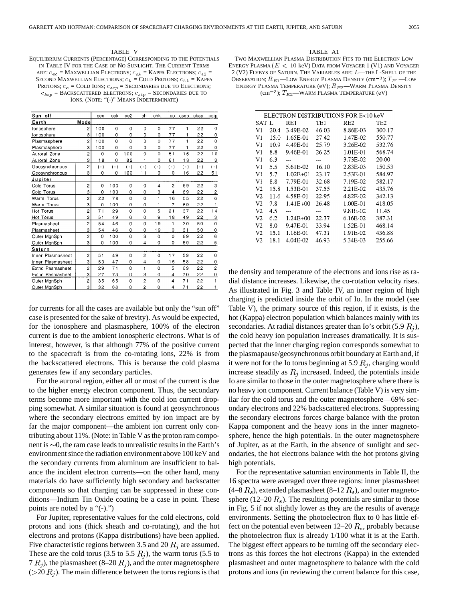#### TABLE V

EQUILIBRIUM CURRENTS (PERCENTAGE) CORRESPONDING TO THE POTENTIALS IN TABLE IV FOR THE CASE OF NO SUNLIGHT. THE CURRENT TERMS ARE:  $c_{ec}$  = MAXWELLIAN ELECTRONS;  $c_{ek}$  = KAPPA ELECTRONS;  $c_{e2}$  = SECOND MAXWELLIAN ELECTRONS;  $c_h$  = COLD PROTONS;  $c_{hk}$  = KAPPA PROTONS;  $c_{o}$  = COLD IONS;  $c_{sep}$  = SECONDARIES DUE TO ELECTRONS;  $c_{bsp} = \mathsf{BACKSCATTERED}$  ELECTRONS;  $c_{sip} = \mathsf{SECONDARIES}$  DUE TO IONS. (NOTE: "(-)" MEANS INDETERMINATE)

| Sun off                 |                | cec          | cek            | ce2            | ch             | chk          | CO       | csep      | cbsp  | csip           |
|-------------------------|----------------|--------------|----------------|----------------|----------------|--------------|----------|-----------|-------|----------------|
| Earth                   | Mode           |              |                |                |                |              |          |           |       |                |
| lonosphere              | $\overline{c}$ | 100          | 0              | 0              | 0              | $\Omega$     | 77       | 1         | 22    | $\mathbf 0$    |
| lonosphere              | 3              | 100          | $\Omega$       | 0              | 0              | 0            | 77       | 1         | 22    | 0              |
| Plasmasphere            | $\overline{2}$ | 100          | $\Omega$       | $\overline{0}$ | $\Omega$       | $\Omega$     | 77       | 1         | 22    | $\mathbf 0$    |
| Plasmasphere            | 3              | 100          | 0              | 0              | 0              | 0            | 77       | 1         | 22    | 0              |
| Auroral Zone            | $\overline{c}$ | 0            | 0              | 100            | 0              | 0            | 51       | 16        | 22    | 10             |
| Auroral Zone            | 3              | 18           | 0              | 82             | 1              | 0            | 61       | 13        | 22    | 3              |
| Geosynchronous          | 2              | $( - )$      | $(\cdot)$      | $(\cdot)$      | $(\cdot)$      | $(-)$        | $(-)$    | $(\cdot)$ | $(-)$ | $(-)$          |
| Geosynchronous          | 3              | 0            | 0              | 100            | 11             | 0            | 0        | 16        | 22    | 51             |
| Jupiter                 |                |              |                |                |                |              |          |           |       |                |
| Cold Torus              | $\overline{c}$ | $\Omega$     | 100            | 0              | $\Omega$       | 4            | 2        | 69        | 22    | 3              |
| Cold Torus              | 3              | $\mathbf{0}$ | 100            | 0              | $\Omega$       | 3            | 4        | 69        | 22    | $\overline{c}$ |
| Warm Torus              | $\overline{c}$ | 22           | 78             | 0              | $\overline{0}$ | $\mathbf{1}$ | 16       | 55        | 22    | 6              |
| Warm Torus              | 3              | 0            | 100            | 0              | 0              | 1            | 7        | 69        | 22    | 1              |
| Hot Torus               | $\overline{2}$ | 71           | 29             | $\mathbf 0$    | $\overline{0}$ | 5            | 21       | 37        | 22    | 14             |
| Hot Torus               | 3              | 51           | 49             | 0              | 0              | 9            | 18       | 49        | 22    | $\overline{3}$ |
| Plasmasheet             | $\overline{2}$ | 54           | 46             | $\circ$        | $\Omega$       | 19           | 1        | 30        | 50    | $\circ$        |
| Plasmasheet             | 3              | 54           | 46             | 0              | 0              | 19           | 0        | 31        | 50    | 0              |
| Outer MgnSph            | $\overline{2}$ | 0            | 100            | $\mathbf 0$    | 3              | $\Omega$     | $\Omega$ | 69        | 22    | 6              |
| Outer MgnSph            | 3              | 0            | 100            | 0              | 4              | 0            | 0        | 69        | 22    | 5              |
| Saturn                  |                |              |                |                |                |              |          |           |       |                |
| Inner Plasmasheet       | 2              | 51           | 49             | $\Omega$       | $\overline{2}$ | 0            | 17       | 59        | 22    | 0              |
| Inner Plasmasheet       | 3              | 53           | 47             | $\circ$        | 4              | 0            | 15       | 58        | 22    | 0              |
| <b>Extnd Pasmasheet</b> | $\overline{c}$ | 29           | 71             | 0              | 1              | $\Omega$     | 5        | 69        | 22    | $\overline{c}$ |
| <b>Extnd Pasmasheet</b> | 3              | 27           | 73             | $\circ$        | 3              | 0            | 4        | 70        | 22    | 0              |
| Outer MgnSph            | $\overline{c}$ | 35           | 65             | $\Omega$       | $\overline{c}$ | 0            | 4        | 71        | 22    | 1              |
| Outer ManSph            | з              | 32           | 6 <sub>R</sub> | $\Omega$       | $\mathfrak{p}$ | $\Omega$     | 4        | 71        | 22    | 1              |

for currents for all the cases are available but only the "sun off" case is presented for the sake of brevity). As would be expected, for the ionosphere and plasmasphere, 100% of the electron current is due to the ambient ionospheric electrons. What is of interest, however, is that although 77% of the positive current to the spacecraft is from the co-rotating ions, 22% is from the backscattered electrons. This is because the cold plasma generates few if any secondary particles.

For the auroral region, either all or most of the current is due to the higher energy electron component. Thus, the secondary terms become more important with the cold ion current dropping somewhat. A similar situation is found at geosynchronous where the secondary electrons emitted by ion impact are by far the major component—the ambient ion current only contributing about 11%. (Note: in Table V as the proton ram component is  $\sim 0$ , the ram case leads to unrealistic results in the Earth's environment since the radiation environment above 100 keV and the secondary currents from aluminum are insufficient to balance the incident electron currents—on the other hand, many materials do have sufficiently high secondary and backscatter components so that charging can be suppressed in these conditions—Indium Tin Oxide coating be a case in point. These points are noted by a  $((-)$ .")

For Jupiter, representative values for the cold electrons, cold protons and ions (thick sheath and co-rotating), and the hot electrons and protons (Kappa distributions) have been applied. Five characteristic regions between 3.5 and 20  $R_i$  are assumed. These are the cold torus (3.5 to 5.5  $R_j$ ), the warm torus (5.5 to 7  $R_j$ ), the plasmasheet (8–20  $R_j$ ), and the outer magnetosphere ( $>$ 20  $R_j$ ). The main difference between the torus regions is that

#### TABLE A1

TWO MAXWELLIAN PLASMA DISTRIBUTION FITS TO THE ELECTRON LOW ENERGY PLASMA  $(E < 10 \text{ keV})$  DATA FROM VOYAGER 1 (V1) AND VOYAGER 2 (V2) FLYBYS OF SATURN. THE VARIABLES ARE: L—THE L-SHELL OF THE OBSERVATION;  $R_{E1}$ —LOW ENERGY PLASMA DENSITY (cm<sup>-3</sup>);  $T_{E1}$ —LOW ENERGY PLASMA TEMPERATURE (eV);  $R_{\,E2}$  —Warm Plasma Density (cm<sup>-3</sup>);  $T_{E2}$ —WARM PLASMA TEMPERATURE (eV)

|  | ELECTRON DISTRIBUTIONS FOR E<10 keV |  |
|--|-------------------------------------|--|
|--|-------------------------------------|--|

| <b>SAT</b> | T.   | RE1          | TE1   | RE2      | TE2.   |
|------------|------|--------------|-------|----------|--------|
| V1         | 20.4 | 3.49E-02     | 46.03 | 8.86E-03 | 300.17 |
| V1         | 15.0 | 1.65E-01     | 27.42 | 1.47E-02 | 550.77 |
| V1         | 10.9 | 4.49E-01     | 25.79 | 3.26E-02 | 532.76 |
| V1         | 8.8  | 9.46E-01     | 26.25 | 1.01E-01 | 568.74 |
| V1         | 6.3  | ---          | ---   | 3.73E-02 | 20.00  |
| V1         | 5.5  | 5.61E-02     | 16.10 | 2.83E-03 | 150.53 |
| V1         | 5.7  | $1.02E + 01$ | 23.17 | 2.53E-01 | 584.97 |
| V1         | 8.8  | 7.79E-01     | 32.68 | 7.19E-02 | 582.17 |
| V2         | 15.8 | 1.53E-01     | 37.55 | 2.21E-02 | 435.76 |
| V2         | 11.6 | 4.58E-01     | 22.95 | 4.82E-02 | 342.13 |
| V2         | 7.8  | $1.41E + 00$ | 26.48 | 1.00E-01 | 418.05 |
| V2         | 4.5  | ---          | ---   | 9.81E-02 | 11.45  |
| V2         | 6.2  | $1.24E + 00$ | 22.37 | 6.16E-02 | 387.31 |
| V2         | 8.0  | 9.47E-01     | 33.94 | 1.52E-01 | 468.14 |
| V2         | 15.1 | 1.16E-01     | 47.31 | 1.91E-02 | 436.88 |
| V2         | 18.1 | 4.04E-02     | 46.93 | 5.34E-03 | 255.66 |
|            |      |              |       |          |        |

the density and temperature of the electrons and ions rise as radial distance increases. Likewise, the co-rotation velocity rises. As illustrated in Fig. 3 and Table IV, an inner region of high charging is predicted inside the orbit of Io. In the model (see Table V), the primary source of this region, if it exists, is the hot (Kappa) electron population which balances mainly with its secondaries. At radial distances greater than Io's orbit (5.9  $R_i$ ), the cold heavy ion population increases dramatically. It is suspected that the inner charging region corresponds somewhat to the plasmapause/geosynchronous orbit boundary at Earth and, if it were not for the Io torus beginning at 5.9  $R_i$ , charging would increase steadily as  $R_i$  increased. Indeed, the potentials inside Io are similar to those in the outer magnetosphere where there is no heavy ion component. Current balance (Table V) is very similar for the cold torus and the outer magnetosphere—69% secondary electrons and 22% backscattered electrons. Suppressing the secondary electrons forces charge balance with the proton Kappa component and the heavy ions in the inner magnetosphere, hence the high potentials. In the outer magnetosphere of Jupiter, as at the Earth, in the absence of sunlight and secondaries, the hot electrons balance with the hot protons giving high potentials.

For the representative saturnian environments in Table II, the 16 spectra were averaged over three regions: inner plasmasheet  $(4–8 R<sub>s</sub>)$ , extended plasmasheet  $(8–12 R<sub>s</sub>)$ , and outer magnetosphere (12–20  $R_s$ ). The resulting potentials are similar to those in Fig. 5 if not slightly lower as they are the results of average environments. Setting the photoelectron flux to 0 has little effect on the potential even between  $12-20 R_s$ , probably because the photoelectron flux is already 1/100 what it is at the Earth. The biggest effect appears to be turning off the secondary electrons as this forces the hot electrons (Kappa) in the extended plasmasheet and outer magnetosphere to balance with the cold protons and ions (in reviewing the current balance for this case,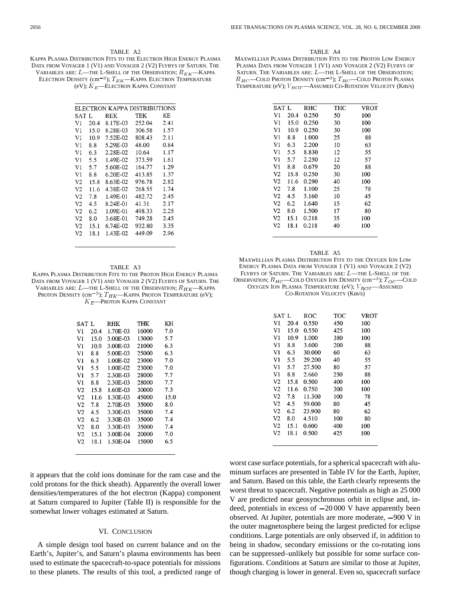TABLE A2 KAPPA PLASMA DISTRIBUTION FITS TO THE ELECTRON HIGH ENERGY PLASMA DATA FROM VOYAGER 1 (V1) AND VOYAGER 2 (V2) FLYBYS OF SATURN. THE VARIABLES ARE:  $L$ —THE  $L$ -SHELL OF THE OBSERVATION;  $R_{EK}$ —KAPPA ELECTRON DENSITY (cm<sup>-3</sup>);  $T_{EK}$  —KAPPA ELECTRON TEMPERATURE (eV);  $\boldsymbol{K}_{E}$  —ELECTRON KAPPA CONSTANT

|                |      | ELECTRON KAPPA DISTRIBUTIONS |        |      |
|----------------|------|------------------------------|--------|------|
| SAT            | L.   | REK                          | TEK    | KE   |
| V1             | 20.4 | 8.17E-03                     | 252.04 | 2.41 |
| V1             | 15.0 | 8.28E-03                     | 306.58 | 1.57 |
| V1             | 10.9 | 7.52E-02                     | 808.43 | 2.11 |
| VI             | 8.8  | 5.29E-03                     | 48.00  | 0.84 |
| V1             | 6.3  | 2.28E-02                     | 10.64  | 1.17 |
| V1             | 5.5  | 1.49E-02                     | 373.59 | 1.61 |
| VI             | 5.7  | 5.60E-02                     | 164.77 | 1.29 |
| V1             | 8.8  | 6.20E-02                     | 413.85 | 1.37 |
| V2             | 15.8 | 8.63E-02                     | 976.78 | 2.82 |
| V <sub>2</sub> | 11.6 | 4.38E-02                     | 268.55 | 1.74 |
| V <sub>2</sub> | 7.8  | 1.49E-01                     | 482.72 | 2.45 |
| V2             | 4.5  | 8.24E-01                     | 41.31  | 2.17 |
| V2             | 6.2  | 1.09E-01                     | 498.33 | 2.25 |
| V2             | 8.0  | 3.68E-01                     | 749.28 | 2.45 |
| V2             | 15.1 | 6.74E-02                     | 932.80 | 3.35 |
| V2             | 18.1 | 1.43E-02                     | 449.09 | 2.96 |
|                |      |                              |        |      |

## TABLE A3

KAPPA PLASMA DISTRIBUTION FITS TO THE PROTON HIGH ENERGY PLASMA DATA FROM VOYAGER 1 (V1) AND VOYAGER 2 (V2) FLYBYS OF SATURN. THE VARIABLES ARE:  $L$ —THE L-SHELL OF THE OBSERVATION;  $R_{HK}$ —KAPPA PROTON DENSITY (cm<sup>-3</sup>);  $T_{HK}$ -KAPPA PROTON TEMPERATURE (eV);  $K_E$ —PROTON KAPPA CONSTANT

| SAT | L    | RHK      | THK   | KН   |
|-----|------|----------|-------|------|
| V1  | 20.4 | 1.70E-03 | 16000 | 7.0  |
| V1  | 15.0 | 3.00E-03 | 13000 | 5.7  |
| V1  | 10.9 | 3.00E-03 | 21000 | 6.3  |
| V1  | 8.8  | 5.00E-03 | 25000 | 6.3  |
| VI  | 6.3  | 1.00E-02 | 23000 | 7.0  |
| V1  | 5.5  | 1.00E-02 | 23000 | 7.0  |
| V1  | 5.7  | 2.30E-03 | 28000 | 7.7  |
| V1  | 8.8  | 2.30E-03 | 28000 | 7.7  |
| V2  | 15.8 | 1.60E-03 | 30000 | 7.3  |
| V2  | 11.6 | 1.30E-03 | 45000 | 15.0 |
| V2  | 7.8  | 2.70E-03 | 35000 | 8.0  |
| V2  | 4.5  | 3.30E-03 | 35000 | 7.4  |
| V2  | 6.2  | 3.30E-03 | 35000 | 7.4  |
| V2  | ጸ በ  | 3.30E-03 | 35000 | 74   |
| V2  | 15.1 | 3.00E-04 | 20000 | 7.0  |
| V2  | 18.1 | 1.50E-04 | 15000 | 6.5  |
|     |      |          |       |      |

it appears that the cold ions dominate for the ram case and the cold protons for the thick sheath). Apparently the overall lower densities/temperatures of the hot electron (Kappa) component at Saturn compared to Jupiter (Table II) is responsible for the somewhat lower voltages estimated at Saturn.

# VI. CONCLUSION

A simple design tool based on current balance and on the Earth's, Jupiter's, and Saturn's plasma environments has been used to estimate the spacecraft-to-space potentials for missions to these planets. The results of this tool, a predicted range of

## TABLE A4 MAXWELLIAN PLASMA DISTRIBUTION FITS TO THE PROTON LOW ENERGY PLASMA DATA FROM VOYAGER 1 (V1) AND VOYAGER 2 (V2) FLYBYS OF SATURN. THE VARIABLES ARE: L-THE L-SHELL OF THE OBSERVATION;  $R_{HC}$ —COLD PROTON DENSITY (cm<sup>-3</sup>);  $T_{HC}$ —COLD PROTON PLASMA TEMPERATURE (eV);  $V_{ROT}$  —ASSUMED CO-ROTATION VELOCITY (Km/s)

| SAT L          |      | RHC   | THC | VROT |
|----------------|------|-------|-----|------|
| V1             | 20.4 | 0.250 | 50  | 100  |
| V1             | 15.0 | 0.250 | 30  | 100  |
| V1             | 10.9 | 0.250 | 30  | 100  |
| V1             | 8.8  | 1.000 | 25  | 88   |
| V1             | 6.3  | 2.200 | 10  | 63   |
| V1             | 5.5  | 8.830 | 12  | 55   |
| V1             | 5.7  | 2.250 | 12  | 57   |
| Vl             | 8.8  | 0.679 | 20  | 88   |
| V <sub>2</sub> | 15.8 | 0.250 | 30  | 100  |
| V <sub>2</sub> | 11.6 | 0.290 | 40  | 100  |
| V2             | 7.8  | 1.100 | 25  | 78   |
| V <sub>2</sub> | 4.5  | 3.160 | 10  | 45   |
| V2             | 6.2  | 1.640 | 15  | 62   |
| V2             | 8.0  | 1.500 | 17  | 80   |
| V <sub>2</sub> | 15.1 | 0.218 | 35  | 100  |
| V2             | 18.1 | 0.218 | 40  | 100  |
|                |      |       |     |      |

#### TABLE A5

MAXWELLIAN PLASMA DISTRIBUTION FITS TO THE OXYGEN ION LOW ENERGY PLASMA DATA FROM VOYAGER 1 (V1) AND VOYAGER 2 (V2) FLYBYS OF SATURN. THE VARIABLES ARE: L—THE L-SHELL OF THE OBSERVATION;  $R_{HC}$ —COLD OXYGEN ION DENSITY (cm<sup>-3</sup>);  $T_{OC}$ —COLD OXYGEN ION PLASMA TEMPERATURE (eV);  $V_{ROT}$ —ASSUMED CO-ROTATION VELOCITY (Km/s)

| SAT L          |      | ROC    | тос | VROT |
|----------------|------|--------|-----|------|
| V1             | 20.4 | 0.550  | 450 | 100  |
| V1             | 15.0 | 0.550  | 425 | 100  |
| V1             | 10.9 | 1.000  | 380 | 100  |
| V1             | 8.8  | 3.600  | 200 | 88   |
| V1             | 6.3  | 30.000 | 60  | 63   |
| V1             | 5.5  | 29.200 | 40  | 55   |
| V1             | 5.7  | 27.500 | 80  | 57   |
| V1             | 8.8  | 2.660  | 250 | 88   |
| V <sub>2</sub> | 15.8 | 0.500  | 400 | 100  |
| V2             | 11.6 | 0.750  | 300 | 100  |
| V2             | 7.8  | 11.300 | 100 | 78   |
| V2             | 4.5  | 59.000 | 80  | 45   |
| V2             | 6.2  | 23.900 | 80  | 62   |
| V2             | 8.0  | 4.510  | 100 | 80   |
| V2             | 15.1 | 0.600  | 400 | 100  |
| V2             | 18.1 | 0.500  | 425 | 100  |
|                |      |        |     |      |

worst case surface potentials, for a spherical spacecraft with aluminum surfaces are presented in Table IV for the Earth, Jupiter, and Saturn. Based on this table, the Earth clearly represents the worst threat to spacecraft. Negative potentials as high as 25 000 V are predicted near geosynchronous orbit in eclipse and, indeed, potentials in excess of  $-20000$  V have apparently been observed. At Jupiter, potentials are more moderate, -900 V in the outer magnetosphere being the largest predicted for eclipse conditions. Large potentials are only observed if, in addition to being in shadow, secondary emissions or the co-rotating ions can be suppressed–unlikely but possible for some surface configurations. Conditions at Saturn are similar to those at Jupiter, though charging is lower in general. Even so, spacecraft surface